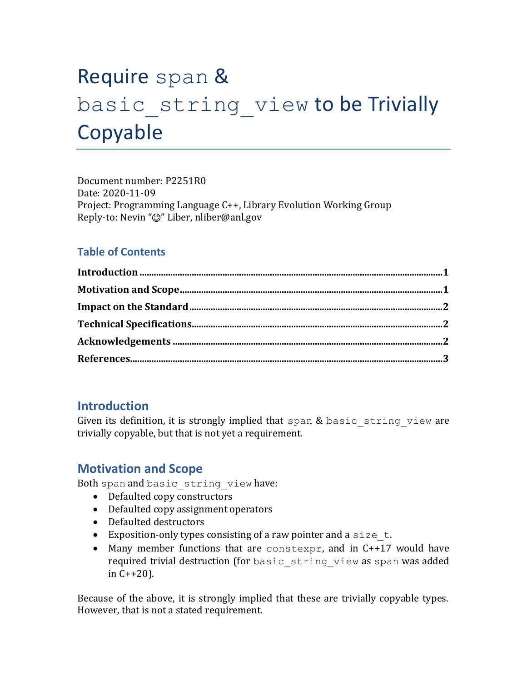# Require span & basic string view to be Trivially Copyable

Document number: P2251R0 Date: 2020-11-09 Project: Programming Language C++, Library Evolution Working Group Reply-to: Nevin " $\mathbb{O}$ " Liber, nliber@anl.gov

## **Table of Contents**

## <span id="page-0-0"></span>**Introduction**

<span id="page-0-1"></span>Given its definition, it is strongly implied that span & basic string view are trivially copyable, but that is not yet a requirement.

## **Motivation and Scope**

Both span and basic string view have:

- Defaulted copy constructors
- Defaulted copy assignment operators
- Defaulted destructors
- Exposition-only types consisting of a raw pointer and a size  $t$ .
- Many member functions that are constexpr, and in C++17 would have required trivial destruction (for basic string view as span was added in C++20).

Because of the above, it is strongly implied that these are trivially copyable types. However, that is not a stated requirement.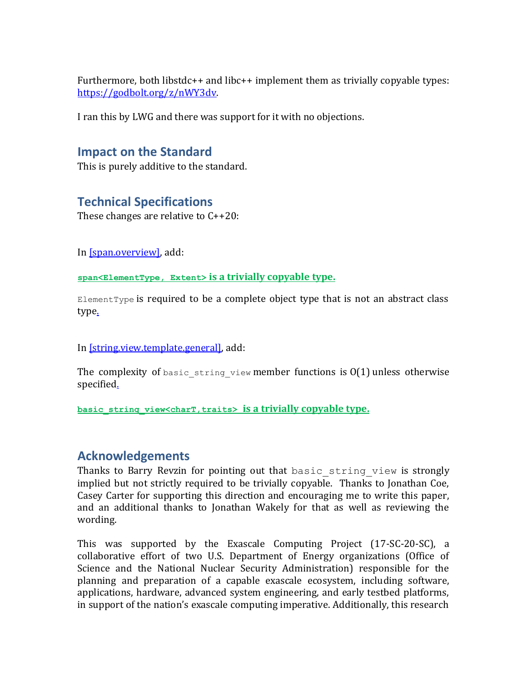Furthermore, both libstdc++ and libc++ implement them as trivially copyable types: [https://godbolt.org/z/nWY3dv.](https://godbolt.org/z/nWY3dv)

<span id="page-1-0"></span>I ran this by LWG and there was support for it with no objections.

### **Impact on the Standard**

<span id="page-1-1"></span>This is purely additive to the standard.

## **Technical Specifications**

These changes are relative to C++20:

In [\[span.overview\],](http://eel.is/c++draft/span.overview) add:

**span<ElementType, Extent> is a [trivially copyable type](http://eel.is/c++draft/basic.types#def:type,trivially_copyable)[.](http://eel.is/c++draft/refwrap.general#2.sentence-1)**

 $E$ lementType is required to be a complete object type that is not an abstract class typ[e.](http://eel.is/c++draft/span.overview#3.sentence-1)

In [\[string.view.template.general\],](http://eel.is/c++draft/string.view.template.general) add:

The complexity of basic string view member functions is  $O(1)$  unless otherwise specifie[d.](http://eel.is/c++draft/string.view.template.general#3.sentence-1)

<span id="page-1-2"></span>**basic\_string\_view<charT,traits> is a [trivially copyable type](http://eel.is/c++draft/basic.types#def:type,trivially_copyable)[.](http://eel.is/c++draft/refwrap.general#2.sentence-1)**

### **Acknowledgements**

Thanks to Barry Revzin for pointing out that basic string view is strongly implied but not strictly required to be trivially copyable. Thanks to Jonathan Coe, Casey Carter for supporting this direction and encouraging me to write this paper, and an additional thanks to Jonathan Wakely for that as well as reviewing the wording.

This was supported by the Exascale Computing Project (17-SC-20-SC), a collaborative effort of two U.S. Department of Energy organizations (Office of Science and the National Nuclear Security Administration) responsible for the planning and preparation of a capable exascale ecosystem, including software, applications, hardware, advanced system engineering, and early testbed platforms, in support of the nation's exascale computing imperative. Additionally, this research